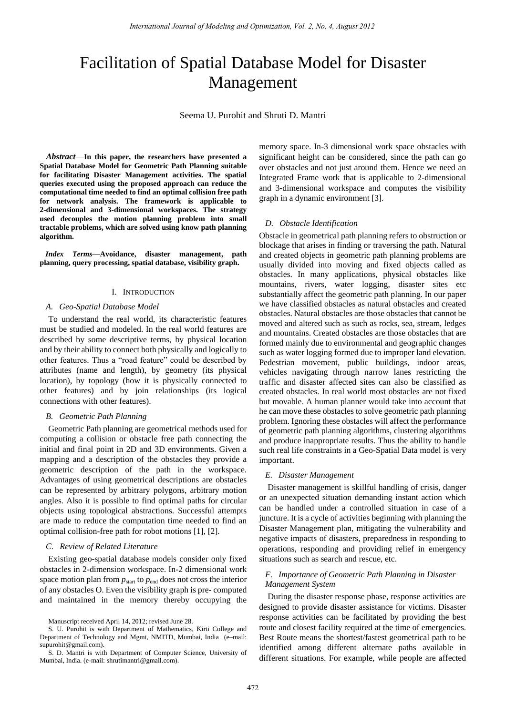# Facilitation of Spatial Database Model for Disaster Management

Seema U. Purohit and Shruti D. Mantri

 *Abstract*—**In this paper, the researchers have presented a Spatial Database Model for Geometric Path Planning suitable for facilitating Disaster Management activities. The spatial queries executed using the proposed approach can reduce the computational time needed to find an optimal collision free path for network analysis. The framework is applicable to 2-dimensional and 3-dimensional workspaces. The strategy used decouples the motion planning problem into small tractable problems, which are solved using know path planning algorithm.**

 *Index Terms***—Avoidance, disaster management, path planning, query processing, spatial database, visibility graph.** 

# I. INTRODUCTION

#### *A. Geo-Spatial Database Model*

To understand the real world, its characteristic features must be studied and modeled. In the real world features are described by some descriptive terms, by physical location and by their ability to connect both physically and logically to other features. Thus a "road feature" could be described by attributes (name and length), by geometry (its physical location), by topology (how it is physically connected to other features) and by join relationships (its logical connections with other features).

# *B. Geometric Path Planning*

Geometric Path planning are geometrical methods used for computing a collision or obstacle free path connecting the initial and final point in 2D and 3D environments. Given a mapping and a description of the obstacles they provide a geometric description of the path in the workspace. Advantages of using geometrical descriptions are obstacles can be represented by arbitrary polygons, arbitrary motion angles. Also it is possible to find optimal paths for circular objects using topological abstractions. Successful attempts are made to reduce the computation time needed to find an optimal collision-free path for robot motions [1], [2].

#### *C. Review of Related Literature*

Existing geo-spatial database models consider only fixed obstacles in 2-dimension workspace. In-2 dimensional work space motion plan from  $p_{\text{start}}$  to  $p_{\text{end}}$  does not cross the interior of any obstacles O. Even the visibility graph is pre- computed and maintained in the memory thereby occupying the memory space. In-3 dimensional work space obstacles with significant height can be considered, since the path can go over obstacles and not just around them. Hence we need an Integrated Frame work that is applicable to 2-dimensional and 3-dimensional workspace and computes the visibility graph in a dynamic environment [3].

#### *D. Obstacle Identification*

Obstacle in geometrical path planning refers to obstruction or blockage that arises in finding or traversing the path. Natural and created objects in geometric path planning problems are usually divided into moving and fixed objects called as obstacles. In many applications, physical obstacles like mountains, rivers, water logging, disaster sites etc substantially affect the geometric path planning. In our paper we have classified obstacles as natural obstacles and created obstacles. Natural obstacles are those obstacles that cannot be moved and altered such as such as rocks, sea, stream, ledges and mountains. Created obstacles are those obstacles that are formed mainly due to environmental and geographic changes such as water logging formed due to improper land elevation. Pedestrian movement, public buildings, indoor areas, vehicles navigating through narrow lanes restricting the traffic and disaster affected sites can also be classified as created obstacles. In real world most obstacles are not fixed but movable. A human planner would take into account that he can move these obstacles to solve geometric path planning problem. Ignoring these obstacles will affect the performance of geometric path planning algorithms, clustering algorithms and produce inappropriate results. Thus the ability to handle such real life constraints in a Geo-Spatial Data model is very important.

#### *E. Disaster Management*

Disaster management is skillful handling of crisis, danger or an unexpected situation demanding instant action which can be handled under a controlled situation in case of a juncture. It is a cycle of activities beginning with planning the Disaster Management plan, mitigating the vulnerability and negative impacts of disasters, preparedness in responding to operations, responding and providing relief in emergency situations such as search and rescue, etc.

# *F. Importance of Geometric Path Planning in Disaster Management System*

During the disaster response phase, response activities are designed to provide disaster assistance for victims. Disaster response activities can be facilitated by providing the best route and closest facility required at the time of emergencies. Best Route means the shortest/fastest geometrical path to be identified among different alternate paths available in different situations. For example, while people are affected

Manuscript received April 14, 2012; revised June 28.

S. U. Purohit is with Department of Mathematics, Kirti College and Department of Technology and Mgmt, NMITD, Mumbai, India (e–mail: [supurohit@gmail.com\)](mailto:supurohit@gmail.com).

S. D. Mantri is with Department of Computer Science, University of Mumbai, India. (e-mail: shrutimantri@gmail.com).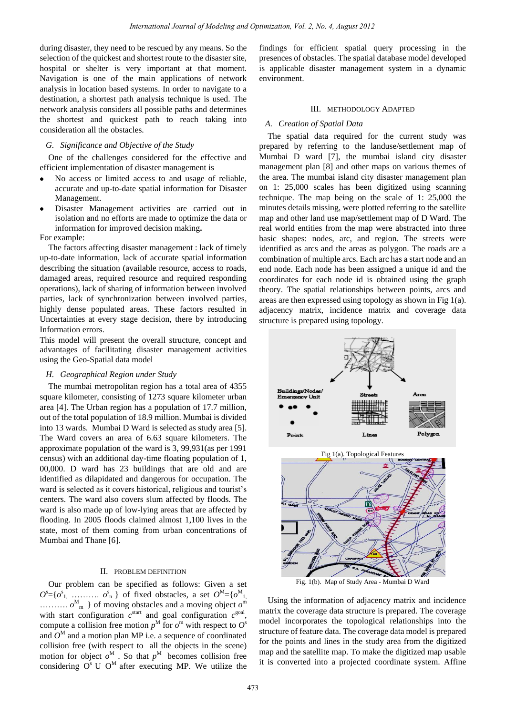during disaster, they need to be rescued by any means. So the selection of the quickest and shortest route to the disaster site, hospital or shelter is very important at that moment. Navigation is one of the main applications of network analysis in location based systems. In order to navigate to a destination, a shortest path analysis technique is used. The network analysis considers all possible paths and determines the shortest and quickest path to reach taking into consideration all the obstacles.

# *G. Significance and Objective of the Study*

One of the challenges considered for the effective and efficient implementation of disaster management is

- No access or limited access to and usage of reliable, accurate and up-to-date spatial information for Disaster Management.
- Disaster Management activities are carried out in isolation and no efforts are made to optimize the data or information for improved decision making**.**

For example:

The factors affecting disaster management : lack of timely up-to-date information, lack of accurate spatial information describing the situation (available resource, access to roads, damaged areas, required resource and required responding operations), lack of sharing of information between involved parties, lack of synchronization between involved parties, highly dense populated areas. These factors resulted in Uncertainties at every stage decision, there by introducing Information errors.

This model will present the overall structure, concept and advantages of facilitating disaster management activities using the Geo-Spatial data model

#### *H. Geographical Region under Study*

The mumbai metropolitan region has a total area of 4355 square kilometer, consisting of 1273 square kilometer urban area [4]. The Urban region has a population of 17.7 million, out of the total population of 18.9 million. Mumbai is divided into 13 wards. Mumbai D Ward is selected as study area [5]. The Ward covers an area of 6.63 square kilometers. The approximate population of the ward is 3, 99,931(as per 1991 census) with an additional day-time floating population of 1, 00,000. D ward has 23 buildings that are old and are identified as dilapidated and dangerous for occupation. The ward is selected as it covers historical, religious and tourist's centers. The ward also covers slum affected by floods. The ward is also made up of low-lying areas that are affected by flooding. In 2005 floods claimed almost 1,100 lives in the state, most of them coming from urban concentrations of Mumbai and Thane [6].

# II. PROBLEM DEFINITION

Our problem can be specified as follows: Given a set  $O^s = \{o^s_1, \ldots, o^s_n\}$  of fixed obstacles, a set  $O^M = \{o^M_{1,1}, \ldots, o^M_{m}\}$  of moving obstacles and a moving object  $o^m$ with start configuration  $c^{\text{start}}$  and goal configuration  $c^{\text{goal}}$ , compute a collision free motion  $p^M$  for  $o^m$  with respect to  $O^s$ and  $O^M$  and a motion plan MP i.e. a sequence of coordinated collision free (with respect to all the objects in the scene) motion for object  $o^M$ . So that  $p^M$  becomes collision free considering  $O<sup>s</sup>$  U  $O<sup>M</sup>$  after executing MP. We utilize the findings for efficient spatial query processing in the presences of obstacles. The spatial database model developed is applicable disaster management system in a dynamic environment.

# III. METHODOLOGY ADAPTED

# *A. Creation of Spatial Data*

The spatial data required for the current study was prepared by referring to the landuse/settlement map of Mumbai D ward [7], the mumbai island city disaster management plan [8] and other maps on various themes of the area. The mumbai island city disaster management plan on 1: 25,000 scales has been digitized using scanning technique. The map being on the scale of 1: 25,000 the minutes details missing, were plotted referring to the satellite map and other land use map/settlement map of D Ward. The real world entities from the map were abstracted into three basic shapes: nodes, arc, and region. The streets were identified as arcs and the areas as polygon. The roads are a combination of multiple arcs. Each arc has a start node and an end node. Each node has been assigned a unique id and the coordinates for each node id is obtained using the graph theory. The spatial relationships between points, arcs and areas are then expressed using topology as shown in Fig 1(a). adjacency matrix, incidence matrix and coverage data structure is prepared using topology.



Using the information of adjacency matrix and incidence matrix the coverage data structure is prepared. The coverage model incorporates the topological relationships into the structure of feature data. The coverage data model is prepared for the points and lines in the study area from the digitized map and the satellite map. To make the digitized map usable it is converted into a projected coordinate system. Affine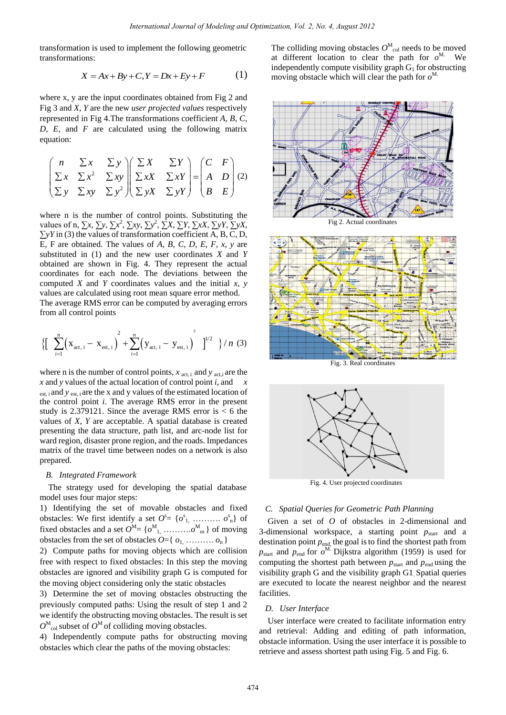transformation is used to implement the following geometric transformations:

$$
X = Ax + By + C, Y = Dx + Ey + F \tag{1}
$$

where x, y are the input coordinates obtained from Fig 2 and Fig 3 and *X*, *Y* are the new *user projected values* respectively represented in Fig 4.The transformations coefficient *A*, *B*, *C*, *D*, *E*, and *F* are calculated using the following matrix equation:

$$
\begin{pmatrix}\nn & \Sigma x & \Sigma y \\
\Sigma x & \Sigma x^2 & \Sigma xy \\
\Sigma y & \Sigma xy & \Sigma y^2\n\end{pmatrix}\n\begin{pmatrix}\n\Sigma X & \Sigma Y \\
\Sigma x X & \Sigma x Y \\
\Sigma y X & \Sigma y Y\n\end{pmatrix} =\n\begin{pmatrix}\nC & F \\
A & D \\
B & E\n\end{pmatrix} (2)
$$

where n is the number of control points. Substituting the values of n,  $\sum x$ ,  $\sum y$ ,  $\sum x^2$ ,  $\sum xy$ ,  $\sum y^2$ ,  $\sum X$ ,  $\sum Y$ ,  $\sum xX$ ,  $\sum yY$ ,  $\sum yX$ , ∑*yY* in (3) the values of transformation coefficient A, B, C, D, E, F are obtained. The values of *A*, *B*, *C*, *D*, *E*, *F*, *x*, *y* are substituted in (1) and the new user coordinates *X* and *Y* obtained are shown in Fig. 4. They represent the actual coordinates for each node. The deviations between the computed *X* and *Y* coordinates values and the initial *x*, *y* values are calculated using root mean square error method. The average RMS error can be computed by averaging errors from all control points

from all control points  
\n
$$
\left\{ \left[ \sum_{i=1}^{n} (x_{\text{act, i}} - x_{\text{est, i}}) + \sum_{i=1}^{n} (y_{\text{act, i}} - y_{\text{est, i}}) \right]^2 \right\} / n \text{ (3)}
$$

where n is the number of control points,  $x_{\text{act, i}}$  and  $y_{\text{act, i}}$  are the *x* and *y* values of the actual location of control point *i*, and *x*  est, and *y* est, are the x and y values of the estimated location of the control point *i*. The average RMS error in the present study is 2.379121. Since the average RMS error is  $< 6$  the values of *X*, *Y* are acceptable. A spatial database is created presenting the data structure, path list, and arc-node list for ward region, disaster prone region, and the roads. Impedances matrix of the travel time between nodes on a network is also prepared.

#### *B. Integrated Framework*

The strategy used for developing the spatial database model uses four major steps:

1) Identifying the set of movable obstacles and fixed obstacles: We first identify a set  $O^s = \{o^s_1, \ldots, o^s_n\}$  of fixed obstacles and a set  $O^M = \{o^M_1, \ldots, o^M_m\}$  of moving obstacles from the set of obstacles  $O = \{o_1, \ldots, o_n\}$ 

2) Compute paths for moving objects which are collision free with respect to fixed obstacles: In this step the moving obstacles are ignored and visibility graph G is computed for the moving object considering only the static obstacles

3) Determine the set of moving obstacles obstructing the previously computed paths: Using the result of step 1 and 2 we identify the obstructing moving obstacles. The result is set  $O^M$ <sub>col</sub> subset of  $O^M$  of colliding moving obstacles.

4) Independently compute paths for obstructing moving obstacles which clear the paths of the moving obstacles:

The colliding moving obstacles  $O^M_{\text{col}}$  needs to be moved at different location to clear the path for  $o^M$ . We independently compute visibility graph  $G_1$  for obstructing moving obstacle which will clear the path for  $o^M$ .



Fig 2. Actual coordinates



Fig. 3. Real coordinates



Fig. 4. User projected coordinates

#### *C. Spatial Queries for Geometric Path Planning*

Given a set of *O* of obstacles in 2-dimensional and 3-dimensional workspace, a starting point  $p_{start}$  and a destination point  $p_{end}$ , the goal is to find the shortest path from  $p_{\text{start}}$  and  $p_{\text{end}}$  for  $o^{\text{M}}$ . Dijkstra algorithm (1959) is used for computing the shortest path between  $p_{\text{start}}$  and  $p_{\text{end}}$  using the visibility graph G and the visibility graph G1. Spatial queries are executed to locate the nearest neighbor and the nearest facilities.

# *D. User Interface*

User interface were created to facilitate information entry and retrieval: Adding and editing of path information, obstacle information. Using the user interface it is possible to retrieve and assess shortest path using Fig. 5 and Fig. 6.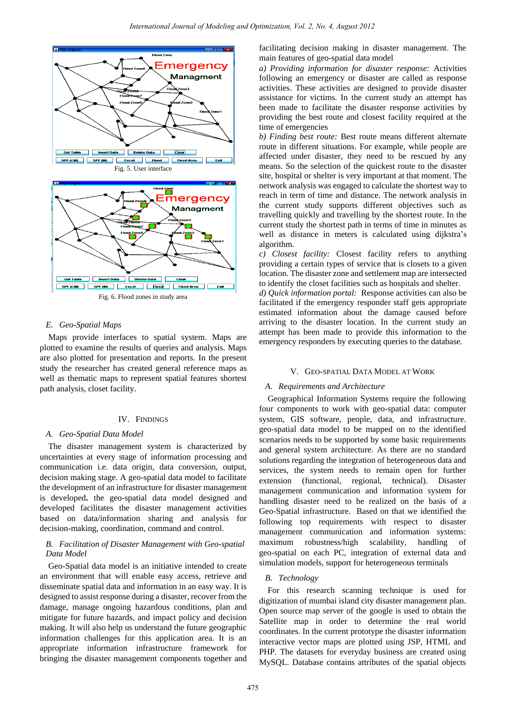

Fig. 6. Flood zones in study area

# *E. Geo-Spatial Maps*

Maps provide interfaces to spatial system. Maps are plotted to examine the results of queries and analysis. Maps are also plotted for presentation and reports. In the present study the researcher has created general reference maps as well as thematic maps to represent spatial features shortest path analysis, closet facility.

#### IV. FINDINGS

# *A. Geo-Spatial Data Model*

The disaster management system is characterized by uncertainties at every stage of information processing and communication i.e. data origin, data conversion, output, decision making stage. A geo-spatial data model to facilitate the development of an infrastructure for disaster management is developed**.** the geo-spatial data model designed and developed facilitates the disaster management activities based on data/information sharing and analysis for decision-making, coordination, command and control.

# *B. Facilitation of Disaster Management with Geo-spatial Data Model*

Geo-Spatial data model is an initiative intended to create an environment that will enable easy access, retrieve and disseminate spatial data and information in an easy way. It is designed to assist response during a disaster, recover from the damage, manage ongoing hazardous conditions, plan and mitigate for future hazards, and impact policy and decision making. It will also help us understand the future geographic information challenges for this application area. It is an appropriate information infrastructure framework for bringing the disaster management components together and facilitating decision making in disaster management. The main features of geo-spatial data model

*a) Providing information for disaster response:* Activities following an emergency or disaster are called as response activities. These activities are designed to provide disaster assistance for victims. In the current study an attempt has been made to facilitate the disaster response activities by providing the best route and closest facility required at the time of emergencies

*b) Finding best route:* Best route means different alternate route in different situations. For example, while people are affected under disaster, they need to be rescued by any means. So the selection of the quickest route to the disaster site, hospital or shelter is very important at that moment. The network analysis was engaged to calculate the shortest way to reach in term of time and distance. The network analysis in the current study supports different objectives such as travelling quickly and travelling by the shortest route. In the current study the shortest path in terms of time in minutes as well as distance in meters is calculated using dijkstra's algorithm.

*c) Closest facility:* Closest facility refers to anything providing a certain types of service that is closets to a given location. The disaster zone and settlement map are intersected to identify the closet facilities such as hospitals and shelter.

*d) Quick information portal:* Response activities can also be facilitated if the emergency responder staff gets appropriate estimated information about the damage caused before arriving to the disaster location. In the current study an attempt has been made to provide this information to the emergency responders by executing queries to the database.

#### V. GEO-SPATIAL DATA MODEL AT WORK

# *A. Requirements and Architecture*

Geographical Information Systems require the following four components to work with geo-spatial data: computer system, GIS software, people, data, and infrastructure. geo-spatial data model to be mapped on to the identified scenarios needs to be supported by some basic requirements and general system architecture. As there are no standard solutions regarding the integration of heterogeneous data and services, the system needs to remain open for further extension (functional, regional, technical). Disaster management communication and information system for handling disaster need to be realized on the basis of a Geo-Spatial infrastructure. Based on that we identified the following top requirements with respect to disaster management communication and information systems: maximum robustness/high scalability, handling of geo-spatial on each PC, integration of external data and simulation models, support for heterogeneous terminals

# *B. Technology*

For this research scanning technique is used for digitization of mumbai island city disaster management plan. Open source map server of the google is used to obtain the Satellite map in order to determine the real world coordinates. In the current prototype the disaster information interactive vector maps are plotted using JSP, HTML and PHP. The datasets for everyday business are created using MySQL. Database contains attributes of the spatial objects